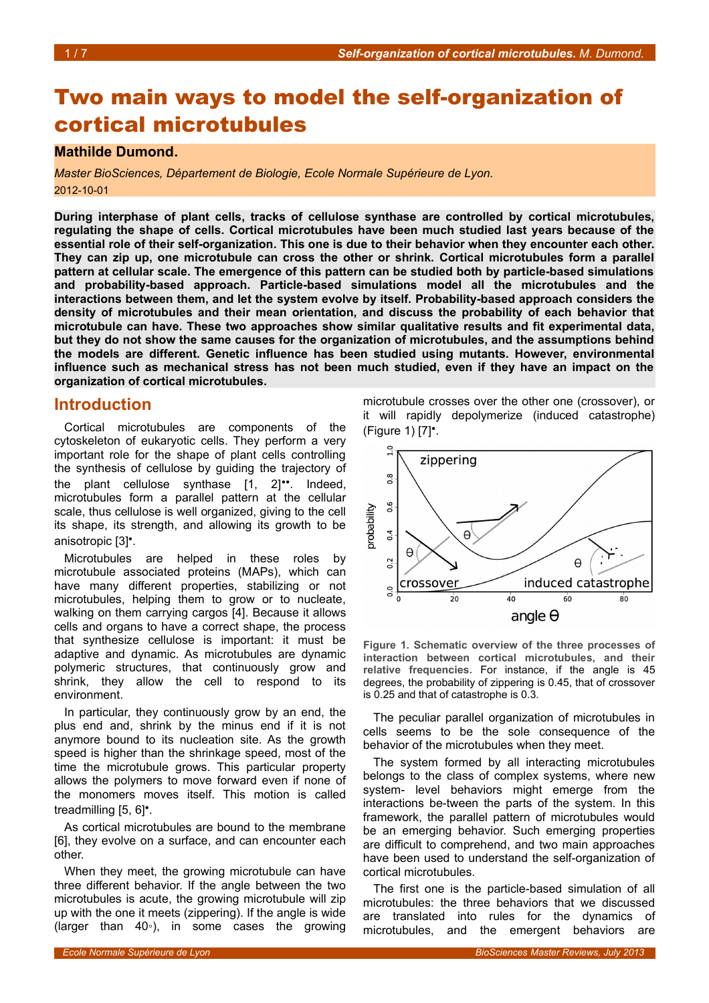# Two main ways to model the self-organization of cortical microtubules

#### **Mathilde Dumond.**

*Master BioSciences, Département de Biologie, Ecole Normale Supérieure de Lyon.* 2012-10-01

**During interphase of plant cells, tracks of cellulose synthase are controlled by cortical microtubules, regulating the shape of cells. Cortical microtubules have been much studied last years because of the essential role of their self-organization. This one is due to their behavior when they encounter each other. They can zip up, one microtubule can cross the other or shrink. Cortical microtubules form a parallel pattern at cellular scale. The emergence of this pattern can be studied both by particle-based simulations and probability-based approach. Particle-based simulations model all the microtubules and the interactions between them, and let the system evolve by itself. Probability-based approach considers the density of microtubules and their mean orientation, and discuss the probability of each behavior that microtubule can have. These two approaches show similar qualitative results and fit experimental data, but they do not show the same causes for the organization of microtubules, and the assumptions behind the models are different. Genetic influence has been studied using mutants. However, environmental influence such as mechanical stress has not been much studied, even if they have an impact on the organization of cortical microtubules.**

#### **Introduction**

Cortical microtubules are components of the cytoskeleton of eukaryotic cells. They perform a very important role for the shape of plant cells controlling the synthesis of cellulose by guiding the trajectory of the plant cellulose synthase [1, 2]••. Indeed, microtubules form a parallel pattern at the cellular scale, thus cellulose is well organized, giving to the cell its shape, its strength, and allowing its growth to be anisotropic [3]•.

Microtubules are helped in these roles by microtubule associated proteins (MAPs), which can have many different properties, stabilizing or not microtubules, helping them to grow or to nucleate, walking on them carrying cargos [4]. Because it allows cells and organs to have a correct shape, the process that synthesize cellulose is important: it must be adaptive and dynamic. As microtubules are dynamic polymeric structures, that continuously grow and shrink, they allow the cell to respond to its environment.

In particular, they continuously grow by an end, the plus end and, shrink by the minus end if it is not anymore bound to its nucleation site. As the growth speed is higher than the shrinkage speed, most of the time the microtubule grows. This particular property allows the polymers to move forward even if none of the monomers moves itself. This motion is called treadmilling [5, 6]•.

As cortical microtubules are bound to the membrane [6], they evolve on a surface, and can encounter each other.

When they meet, the growing microtubule can have three different behavior. If the angle between the two microtubules is acute, the growing microtubule will zip up with the one it meets (zippering). If the angle is wide (larger than 40◦), in some cases the growing microtubule crosses over the other one (crossover), or it will rapidly depolymerize (induced catastrophe) (Figure [1\)](#page-0-0) [7]•.



<span id="page-0-0"></span>**Figure 1. Schematic overview of the three processes of interaction between cortical microtubules, and their relative frequencies.** For instance, if the angle is 45 degrees, the probability of zippering is 0.45, that of crossover is 0.25 and that of catastrophe is 0.3.

The peculiar parallel organization of microtubules in cells seems to be the sole consequence of the behavior of the microtubules when they meet.

The system formed by all interacting microtubules belongs to the class of complex systems, where new system- level behaviors might emerge from the interactions be-tween the parts of the system. In this framework, the parallel pattern of microtubules would be an emerging behavior. Such emerging properties are difficult to comprehend, and two main approaches have been used to understand the self-organization of cortical microtubules.

The first one is the particle-based simulation of all microtubules: the three behaviors that we discussed are translated into rules for the dynamics of microtubules, and the emergent behaviors are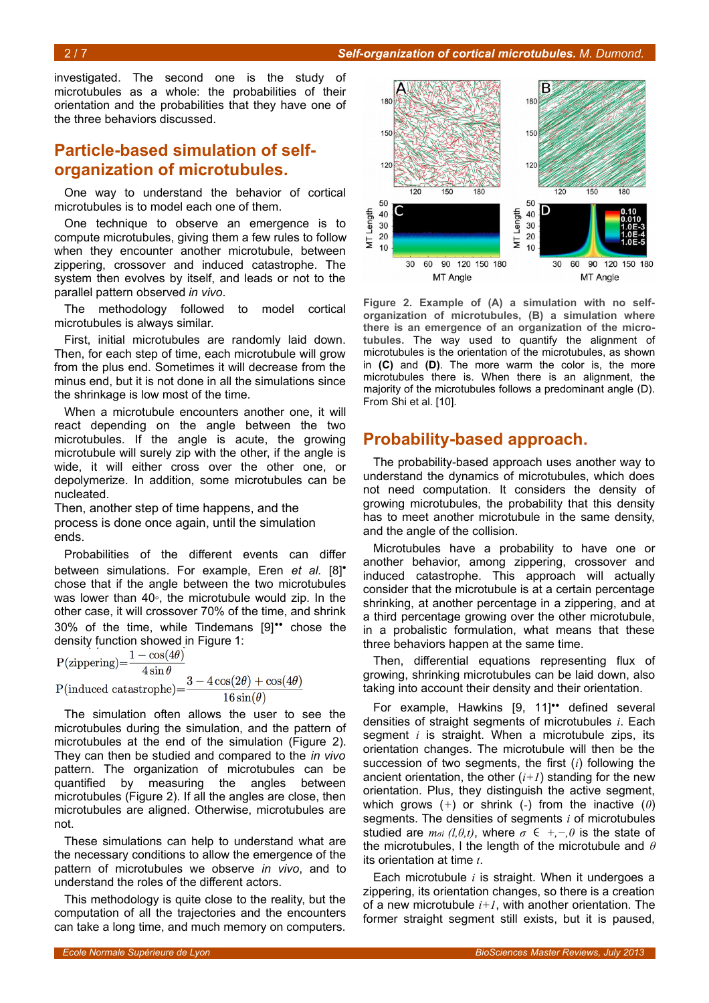investigated. The second one is the study of microtubules as a whole: the probabilities of their orientation and the probabilities that they have one of the three behaviors discussed.

### **Particle-based simulation of selforganization of microtubules.**

One way to understand the behavior of cortical microtubules is to model each one of them.

One technique to observe an emergence is to compute microtubules, giving them a few rules to follow when they encounter another microtubule, between zippering, crossover and induced catastrophe. The system then evolves by itself, and leads or not to the parallel pattern observed *in vivo*.

The methodology followed to model cortical microtubules is always similar.

First, initial microtubules are randomly laid down. Then, for each step of time, each microtubule will grow from the plus end. Sometimes it will decrease from the minus end, but it is not done in all the simulations since the shrinkage is low most of the time.

When a microtubule encounters another one, it will react depending on the angle between the two microtubules. If the angle is acute, the growing microtubule will surely zip with the other, if the angle is wide, it will either cross over the other one, or depolymerize. In addition, some microtubules can be nucleated.

Then, another step of time happens, and the process is done once again, until the simulation ends.

Probabilities of the different events can differ between simulations. For example, Eren *et al.* [8]• chose that if the angle between the two microtubules was lower than 40∘, the microtubule would zip. In the other case, it will crossover 70% of the time, and shrink 30% of the time, while Tindemans [9]•• chose the

density function showed in Figure [1:](#page-0-0)<br>P(zippering)= $\frac{1-\cos(4\theta)}{1+\cos(4\theta)}$  $\overline{4\sin\theta}$  $3-4\cos(2\theta)+\cos(4\theta)$  $P(induced catastrophe) =$  $16\sin(\theta)$ 

The simulation often allows the user to see the microtubules during the simulation, and the pattern of microtubules at the end of the simulation (Figure [2\)](#page-1-0). They can then be studied and compared to the *in vivo* pattern. The organization of microtubules can be quantified by measuring the angles between microtubules (Figure [2\)](#page-1-0). If all the angles are close, then microtubules are aligned. Otherwise, microtubules are not.

These simulations can help to understand what are the necessary conditions to allow the emergence of the pattern of microtubules we observe *in vivo*, and to understand the roles of the different actors.

This methodology is quite close to the reality, but the computation of all the trajectories and the encounters can take a long time, and much memory on computers.



<span id="page-1-0"></span>**Figure 2. Example of (A) a simulation with no selforganization of microtubules, (B) a simulation where there is an emergence of an organization of the microtubules.** The way used to quantify the alignment of microtubules is the orientation of the microtubules, as shown in **(C)** and **(D)**. The more warm the color is, the more microtubules there is. When there is an alignment, the majority of the microtubules follows a predominant angle (D). From Shi et al. [10].

#### **Probability-based approach.**

The probability-based approach uses another way to understand the dynamics of microtubules, which does not need computation. It considers the density of growing microtubules, the probability that this density has to meet another microtubule in the same density, and the angle of the collision.

Microtubules have a probability to have one or another behavior, among zippering, crossover and induced catastrophe. This approach will actually consider that the microtubule is at a certain percentage shrinking, at another percentage in a zippering, and at a third percentage growing over the other microtubule, in a probalistic formulation, what means that these three behaviors happen at the same time.

Then, differential equations representing flux of growing, shrinking microtubules can be laid down, also taking into account their density and their orientation.

For example, Hawkins [9, 11]•• defined several densities of straight segments of microtubules *i*. Each segment *i* is straight. When a microtubule zips, its orientation changes. The microtubule will then be the succession of two segments, the first (*i*) following the ancient orientation, the other  $(i+1)$  standing for the new orientation. Plus, they distinguish the active segment, which grows (*+*) or shrink (*-*) from the inactive (*0*) segments. The densities of segments *i* of microtubules studied are  $m_{\sigma i}$  (l, $\theta$ ,t), where  $\sigma \in +,-,0$  is the state of the microtubules, l the length of the microtubule and *θ* its orientation at time *t*.

Each microtubule *i* is straight. When it undergoes a zippering, its orientation changes, so there is a creation of a new microtubule  $i+1$ , with another orientation. The former straight segment still exists, but it is paused,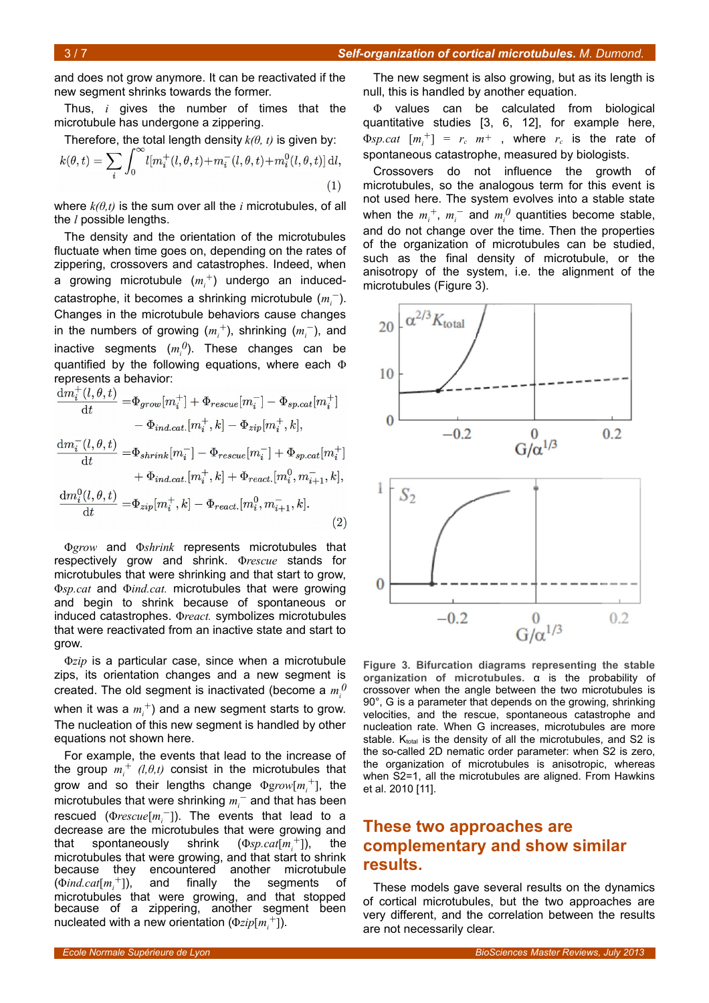and does not grow anymore. It can be reactivated if the new segment shrinks towards the former.

Thus, *i* gives the number of times that the microtubule has undergone a zippering.

Therefore, the total length density 
$$
k(\theta, t)
$$
 is given by:  
\n
$$
k(\theta, t) = \sum_{i} \int_0^\infty l[m_i^+(l, \theta, t) + m_i^-(l, \theta, t) + m_i^0(l, \theta, t)] \, \mathrm{d}l,
$$
\n(1)

where *k(θ,t)* is the sum over all the *i* microtubules, of all the *l* possible lengths.

The density and the orientation of the microtubules fluctuate when time goes on, depending on the rates of zippering, crossovers and catastrophes. Indeed, when a growing microtubule (*m<sup>i</sup> +*) undergo an inducedcatastrophe, it becomes a shrinking microtubule (*m<sup>i</sup> −*). Changes in the microtubule behaviors cause changes in the numbers of growing (*m<sup>i</sup> <sup>+</sup>*), shrinking (*m<sup>i</sup> −*), and inactive segments (*m<sup>i</sup> 0*). These changes can be quantified by the following equations, where each Φ represents a behavior:<br> $\frac{1}{1 + (1 - 0)}$ 

$$
\frac{\mathrm{d}m_i^{\cdot}(l, \theta, t)}{\mathrm{d}t} = \Phi_{grow}[m_i^+] + \Phi_{rescue}[m_i^-] - \Phi_{sp.cat}[m_i^+]
$$
\n
$$
- \Phi_{ind.cat.}[m_i^+, k] - \Phi_{zip}[m_i^+, k],
$$
\n
$$
\frac{\mathrm{d}m_i^{\cdot}(l, \theta, t)}{\mathrm{d}t} = \Phi_{shrink}[m_i^-] - \Phi_{rescue}[m_i^-] + \Phi_{sp.cat}[m_i^+]
$$
\n
$$
+ \Phi_{ind.cat.}[m_i^+, k] + \Phi_{react.}[m_i^0, m_{i+1}^-, k],
$$
\n
$$
\frac{\mathrm{d}m_i^0(l, \theta, t)}{\mathrm{d}t} = \Phi_{zip}[m_i^+, k] - \Phi_{react.}[m_i^0, m_{i+1}^-, k].
$$
\n(2)

Φ*grow* and Φ*shrink* represents microtubules that respectively grow and shrink. Φ*rescue* stands for microtubules that were shrinking and that start to grow, Φ*sp.cat* and Φ*ind.cat.* microtubules that were growing and begin to shrink because of spontaneous or induced catastrophes. Φ*react.* symbolizes microtubules that were reactivated from an inactive state and start to grow.

Φ*zip* is a particular case, since when a microtubule zips, its orientation changes and a new segment is created. The old segment is inactivated (become a  $m_i^0$ when it was a  $m^{+}_{i}$ ) and a new segment starts to grow. The nucleation of this new segment is handled by other equations not shown here.

For example, the events that lead to the increase of the group  $m_i^+$  (*l,θ,t*) consist in the microtubules that grow and so their lengths change Φg*row*[*m<sup>i</sup> +*], the microtubules that were shrinking *m<sup>i</sup> −* and that has been rescued (Φ*rescue*[*m<sup>i</sup> −*]). The events that lead to a decrease are the microtubules that were growing and that spontaneously shrink  $(\Phi_{SP}.cat[m,+]),$  the microtubules that were growing, and that start to shrink because they encountered another microtubule (Φ*ind.cat*[*m<sup>i</sup> +*]), and finally the segments of microtubules that were growing, and that stopped because of a zippering, another segment been nucleated with a new orientation (Φ*zip*[*m<sup>i</sup> +*]).

The new segment is also growing, but as its length is null, this is handled by another equation.

Φ values can be calculated from biological quantitative studies [3, 6, 12], for example here,  $\Phi$ *sp.cat*  $[m_i^+] = r_c \cdot m^+$ , where  $r_c$  is the rate of spontaneous catastrophe, measured by biologists.

Crossovers do not influence the growth of microtubules, so the analogous term for this event is not used here. The system evolves into a stable state when the  $m_i^+$ ,  $m_i^-$  and  $m_i^0$  quantities become stable, and do not change over the time. Then the properties of the organization of microtubules can be studied, such as the final density of microtubule, or the anisotropy of the system, i.e. the alignment of the microtubules (Figure [3\)](#page-2-0).



<span id="page-2-0"></span>**Figure 3. Bifurcation diagrams representing the stable organization of microtubules.** α is the probability of crossover when the angle between the two microtubules is 90°, G is a parameter that depends on the growing, shrinking velocities, and the rescue, spontaneous catastrophe and nucleation rate. When G increases, microtubules are more stable.  $K_{total}$  is the density of all the microtubules, and S2 is the so-called 2D nematic order parameter: when S2 is zero, the organization of microtubules is anisotropic, whereas when S2=1, all the microtubules are aligned. From Hawkins et al. 2010 [11].

# **These two approaches are complementary and show similar results.**

These models gave several results on the dynamics of cortical microtubules, but the two approaches are very different, and the correlation between the results are not necessarily clear.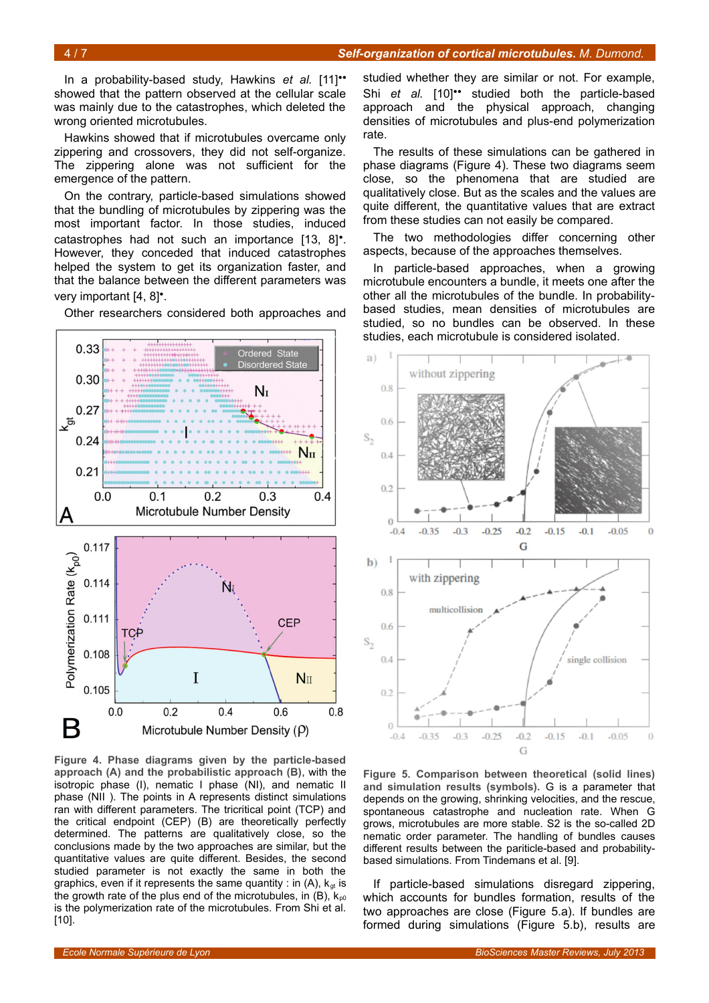In a probability-based study, Hawkins *et al.* [11]•• showed that the pattern observed at the cellular scale was mainly due to the catastrophes, which deleted the wrong oriented microtubules.

Hawkins showed that if microtubules overcame only zippering and crossovers, they did not self-organize. The zippering alone was not sufficient for the emergence of the pattern.

On the contrary, particle-based simulations showed that the bundling of microtubules by zippering was the most important factor. In those studies, induced catastrophes had not such an importance [13, 8]•. However, they conceded that induced catastrophes helped the system to get its organization faster, and that the balance between the different parameters was very important [4, 8]•.

Other researchers considered both approaches and



<span id="page-3-1"></span>**Figure 4. Phase diagrams given by the particle-based approach (A) and the probabilistic approach (B)**, with the isotropic phase (I), nematic I phase (NI), and nematic II phase (NII ). The points in A represents distinct simulations ran with different parameters. The tricritical point (TCP) and the critical endpoint (CEP) (B) are theoretically perfectly determined. The patterns are qualitatively close, so the conclusions made by the two approaches are similar, but the quantitative values are quite different. Besides, the second studied parameter is not exactly the same in both the graphics, even if it represents the same quantity : in  $(A)$ ,  $k_{at}$  is the growth rate of the plus end of the microtubules, in  $(B)$ ,  $k_{p0}$ is the polymerization rate of the microtubules. From Shi et al. [10].

studied whether they are similar or not. For example, Shi *et al.* [10]•• studied both the particle-based approach and the physical approach, changing densities of microtubules and plus-end polymerization rate.

The results of these simulations can be gathered in phase diagrams (Figure [4\)](#page-3-1). These two diagrams seem close, so the phenomena that are studied are qualitatively close. But as the scales and the values are quite different, the quantitative values that are extract from these studies can not easily be compared.

The two methodologies differ concerning other aspects, because of the approaches themselves.

In particle-based approaches, when a growing microtubule encounters a bundle, it meets one after the other all the microtubules of the bundle. In probabilitybased studies, mean densities of microtubules are studied, so no bundles can be observed. In these studies, each microtubule is considered isolated.



<span id="page-3-0"></span>**Figure 5. Comparison between theoretical (solid lines) and simulation results (symbols).** G is a parameter that depends on the growing, shrinking velocities, and the rescue, spontaneous catastrophe and nucleation rate. When G grows, microtubules are more stable. S2 is the so-called 2D nematic order parameter. The handling of bundles causes different results between the pariticle-based and probabilitybased simulations. From Tindemans et al. [9].

If particle-based simulations disregard zippering, which accounts for bundles formation, results of the two approaches are close (Figure [5.](#page-3-0)a). If bundles are formed during simulations (Figure [5.](#page-3-0)b), results are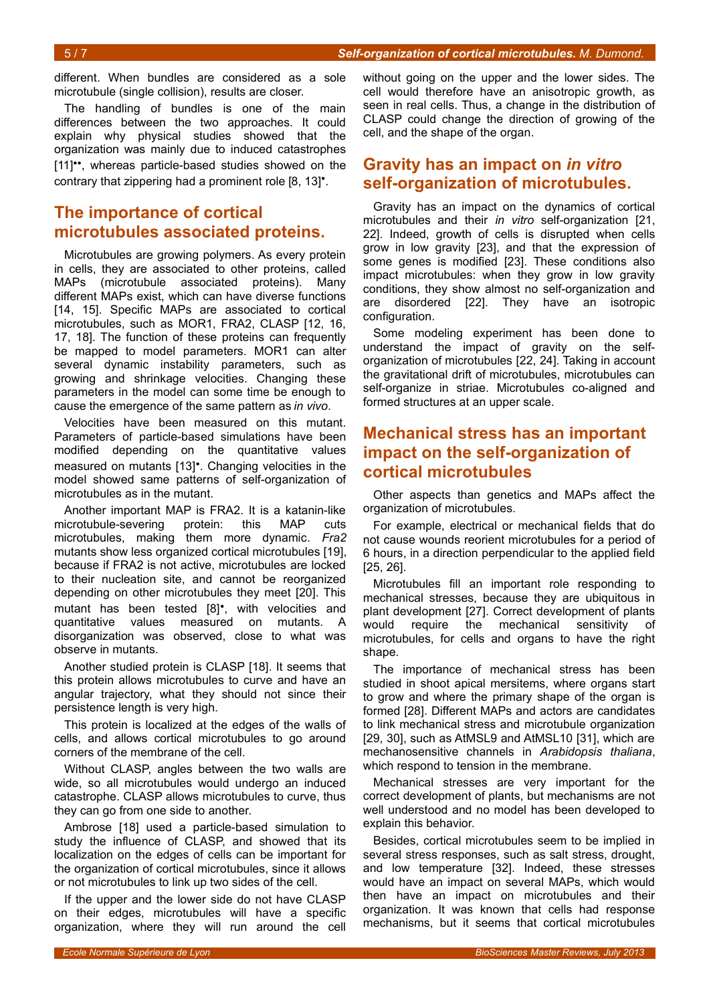different. When bundles are considered as a sole microtubule (single collision), results are closer.

The handling of bundles is one of the main differences between the two approaches. It could explain why physical studies showed that the organization was mainly due to induced catastrophes [11]••, whereas particle-based studies showed on the contrary that zippering had a prominent role [8, 13]<sup>•</sup>.

# **The importance of cortical microtubules associated proteins.**

Microtubules are growing polymers. As every protein in cells, they are associated to other proteins, called MAPs (microtubule associated proteins). Many different MAPs exist, which can have diverse functions [14, 15]. Specific MAPs are associated to cortical microtubules, such as MOR1, FRA2, CLASP [12, 16, 17, 18]. The function of these proteins can frequently be mapped to model parameters. MOR1 can alter several dynamic instability parameters, such as growing and shrinkage velocities. Changing these parameters in the model can some time be enough to cause the emergence of the same pattern as *in vivo*.

Velocities have been measured on this mutant. Parameters of particle-based simulations have been modified depending on the quantitative values measured on mutants [13]•. Changing velocities in the model showed same patterns of self-organization of microtubules as in the mutant.

Another important MAP is FRA2. It is a katanin-like microtubule-severing protein: this MAP cuts microtubules, making them more dynamic. *Fra2* mutants show less organized cortical microtubules [19], because if FRA2 is not active, microtubules are locked to their nucleation site, and cannot be reorganized depending on other microtubules they meet [20]. This mutant has been tested [8]•, with velocities and quantitative values measured on mutants. A disorganization was observed, close to what was observe in mutants.

Another studied protein is CLASP [18]. It seems that this protein allows microtubules to curve and have an angular trajectory, what they should not since their persistence length is very high.

This protein is localized at the edges of the walls of cells, and allows cortical microtubules to go around corners of the membrane of the cell.

Without CLASP, angles between the two walls are wide, so all microtubules would undergo an induced catastrophe. CLASP allows microtubules to curve, thus they can go from one side to another.

Ambrose [18] used a particle-based simulation to study the influence of CLASP, and showed that its localization on the edges of cells can be important for the organization of cortical microtubules, since it allows or not microtubules to link up two sides of the cell.

If the upper and the lower side do not have CLASP on their edges, microtubules will have a specific organization, where they will run around the cell without going on the upper and the lower sides. The cell would therefore have an anisotropic growth, as seen in real cells. Thus, a change in the distribution of CLASP could change the direction of growing of the cell, and the shape of the organ.

## **Gravity has an impact on** *in vitro* **self-organization of microtubules.**

Gravity has an impact on the dynamics of cortical microtubules and their *in vitro* self-organization [21, 22]. Indeed, growth of cells is disrupted when cells grow in low gravity [23], and that the expression of some genes is modified [23]. These conditions also impact microtubules: when they grow in low gravity conditions, they show almost no self-organization and are disordered [22]. They have an isotropic configuration.

Some modeling experiment has been done to understand the impact of gravity on the selforganization of microtubules [22, 24]. Taking in account the gravitational drift of microtubules, microtubules can self-organize in striae. Microtubules co-aligned and formed structures at an upper scale.

# **Mechanical stress has an important impact on the self-organization of cortical microtubules**

Other aspects than genetics and MAPs affect the organization of microtubules.

For example, electrical or mechanical fields that do not cause wounds reorient microtubules for a period of 6 hours, in a direction perpendicular to the applied field [25, 26].

Microtubules fill an important role responding to mechanical stresses, because they are ubiquitous in plant development [27]. Correct development of plants would require the mechanical sensitivity of microtubules, for cells and organs to have the right shape.

The importance of mechanical stress has been studied in shoot apical mersitems, where organs start to grow and where the primary shape of the organ is formed [28]. Different MAPs and actors are candidates to link mechanical stress and microtubule organization [29, 30], such as AtMSL9 and AtMSL10 [31], which are mechanosensitive channels in *Arabidopsis thaliana*, which respond to tension in the membrane.

Mechanical stresses are very important for the correct development of plants, but mechanisms are not well understood and no model has been developed to explain this behavior.

Besides, cortical microtubules seem to be implied in several stress responses, such as salt stress, drought, and low temperature [32]. Indeed, these stresses would have an impact on several MAPs, which would then have an impact on microtubules and their organization. It was known that cells had response mechanisms, but it seems that cortical microtubules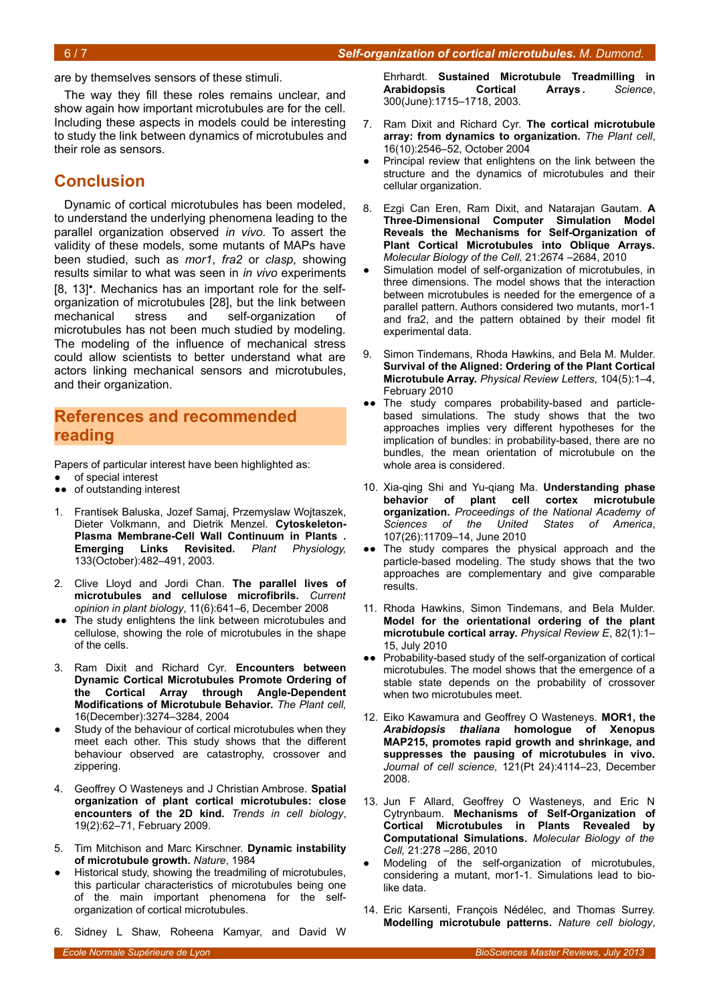are by themselves sensors of these stimuli.

The way they fill these roles remains unclear, and show again how important microtubules are for the cell. Including these aspects in models could be interesting to study the link between dynamics of microtubules and their role as sensors.

### **Conclusion**

Dynamic of cortical microtubules has been modeled, to understand the underlying phenomena leading to the parallel organization observed *in vivo*. To assert the validity of these models, some mutants of MAPs have been studied, such as *mor1*, *fra2* or *clasp*, showing results similar to what was seen in *in vivo* experiments [8, 13]•. Mechanics has an important role for the selforganization of microtubules [28], but the link between mechanical stress and self-organization of microtubules has not been much studied by modeling. The modeling of the influence of mechanical stress could allow scientists to better understand what are actors linking mechanical sensors and microtubules, and their organization.

#### **References and recommended reading**

Papers of particular interest have been highlighted as:

- of special interest
- ●● of outstanding interest
- 1. Frantisek Baluska, Jozef Samaj, Przemyslaw Wojtaszek, Dieter Volkmann, and Dietrik Menzel. **Cytoskeleton-Plasma Membrane-Cell Wall Continuum in Plants . Emerging Links Revisited.** *Plant Physiology,* 133(October):482–491, 2003.
- 2. Clive Lloyd and Jordi Chan. **The parallel lives of microtubules and cellulose microfibrils.** *Current opinion in plant biology*, 11(6):641–6, December 2008
- ●● The study enlightens the link between microtubules and cellulose, showing the role of microtubules in the shape of the cells.
- 3. Ram Dixit and Richard Cyr. **Encounters between Dynamic Cortical Microtubules Promote Ordering of the Cortical Array through Angle-Dependent Modifications of Microtubule Behavior.** *The Plant cell,* 16(December):3274–3284, 2004
- Study of the behaviour of cortical microtubules when they meet each other. This study shows that the different behaviour observed are catastrophy, crossover and zippering.
- 4. Geoffrey O Wasteneys and J Christian Ambrose. **Spatial organization of plant cortical microtubules: close encounters of the 2D kind.** *Trends in cell biology*, 19(2):62–71, February 2009.
- 5. Tim Mitchison and Marc Kirschner. **Dynamic instability of microtubule growth.** *Nature*, 1984
- Historical study, showing the treadmiling of microtubules. this particular characteristics of microtubules being one of the main important phenomena for the selforganization of cortical microtubules.
- 6. Sidney L Shaw, Roheena Kamyar, and David W

Ehrhardt. **Sustained Microtubule Treadmilling in Arabidopsis Cortical Arrays .** *Science*, 300(June):1715–1718, 2003.

- 7. Ram Dixit and Richard Cyr. **The cortical microtubule array: from dynamics to organization.** *The Plant cell*, 16(10):2546–52, October 2004
- Principal review that enlightens on the link between the structure and the dynamics of microtubules and their cellular organization.
- 8. Ezgi Can Eren, Ram Dixit, and Natarajan Gautam. **A Three-Dimensional Computer Simulation Model Reveals the Mechanisms for Self-Organization of Plant Cortical Microtubules into Oblique Arrays.** *Molecular Biology of the Cell,* 21:2674 –2684, 2010
- Simulation model of self-organization of microtubules, in three dimensions. The model shows that the interaction between microtubules is needed for the emergence of a parallel pattern. Authors considered two mutants, mor1-1 and fra2, and the pattern obtained by their model fit experimental data.
- 9. Simon Tindemans, Rhoda Hawkins, and Bela M. Mulder. **Survival of the Aligned: Ordering of the Plant Cortical Microtubule Array.** *Physical Review Letters*, 104(5):1–4, February 2010
- •• The study compares probability-based and particlebased simulations. The study shows that the two approaches implies very different hypotheses for the implication of bundles: in probability-based, there are no bundles, the mean orientation of microtubule on the whole area is considered.
- 10. Xia-qing Shi and Yu-qiang Ma. **Understanding phase behavior of plant cell cortex microtubule organization.** *Proceedings of the National Academy of Sciences of the United States of America*, 107(26):11709–14, June 2010
- •• The study compares the physical approach and the particle-based modeling. The study shows that the two approaches are complementary and give comparable results.
- 11. Rhoda Hawkins, Simon Tindemans, and Bela Mulder. **Model for the orientational ordering of the plant microtubule cortical array.** *Physical Review E*, 82(1):1– 15, July 2010
- Probability-based study of the self-organization of cortical microtubules. The model shows that the emergence of a stable state depends on the probability of crossover when two microtubules meet.
- 12. Eiko Kawamura and Geoffrey O Wasteneys. **MOR1, the** *Arabidopsis thaliana* **homologue of Xenopus MAP215, promotes rapid growth and shrinkage, and suppresses the pausing of microtubules in vivo.** *Journal of cell science,* 121(Pt 24):4114–23, December 2008.
- 13. Jun F Allard, Geoffrey O Wasteneys, and Eric N Cytrynbaum. **Mechanisms of Self-Organization of Cortical Microtubules in Plants Revealed by Computational Simulations.** *Molecular Biology of the Cell,* 21:278 –286, 2010
- Modeling of the self-organization of microtubules, considering a mutant, mor1-1. Simulations lead to biolike data.
- 14. Eric Karsenti, François Nédélec, and Thomas Surrey. **Modelling microtubule patterns.** *Nature cell biology*,